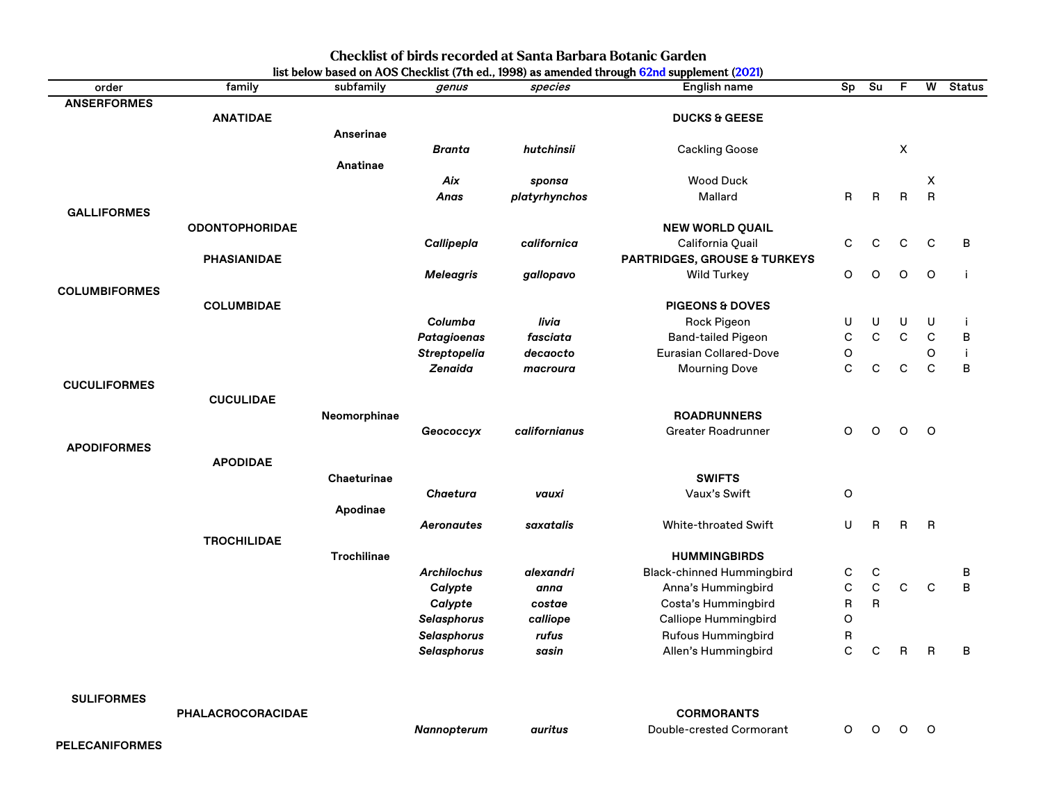| order                | family                   | subfamily          | genus               | species       | English name                     | Sp                      | Su          | F            | W              | <b>Status</b>  |
|----------------------|--------------------------|--------------------|---------------------|---------------|----------------------------------|-------------------------|-------------|--------------|----------------|----------------|
| <b>ANSERFORMES</b>   |                          |                    |                     |               |                                  |                         |             |              |                |                |
|                      | <b>ANATIDAE</b>          |                    |                     |               | <b>DUCKS &amp; GEESE</b>         |                         |             |              |                |                |
|                      |                          | <b>Anserinae</b>   |                     |               |                                  |                         |             |              |                |                |
|                      |                          |                    | <b>Branta</b>       | hutchinsii    | <b>Cackling Goose</b>            |                         |             | X            |                |                |
|                      |                          | Anatinae           |                     |               |                                  |                         |             |              |                |                |
|                      |                          |                    | Aix                 | sponsa        | <b>Wood Duck</b>                 |                         |             |              | X              |                |
|                      |                          |                    | Anas                | platyrhynchos | Mallard                          | R                       | R           | $\mathsf{R}$ | $\overline{R}$ |                |
| <b>GALLIFORMES</b>   |                          |                    |                     |               |                                  |                         |             |              |                |                |
|                      | <b>ODONTOPHORIDAE</b>    |                    |                     |               | <b>NEW WORLD QUAIL</b>           |                         |             |              |                |                |
|                      |                          |                    | Callipepla          | californica   | California Quail                 | C                       | C           | $\mathbf C$  | $\mathsf{C}$   | B              |
|                      | <b>PHASIANIDAE</b>       |                    |                     |               | PARTRIDGES, GROUSE & TURKEYS     |                         |             |              |                |                |
|                      |                          |                    | <b>Meleagris</b>    | gallopavo     | <b>Wild Turkey</b>               | $\circ$                 | $\circ$     | O            | $\circ$        | j.             |
| <b>COLUMBIFORMES</b> |                          |                    |                     |               |                                  |                         |             |              |                |                |
|                      | <b>COLUMBIDAE</b>        |                    |                     |               | <b>PIGEONS &amp; DOVES</b>       |                         |             |              |                |                |
|                      |                          |                    | Columba             | livia         | <b>Rock Pigeon</b>               | U                       | U           | U            | U              | j              |
|                      |                          |                    | <b>Patagioenas</b>  | fasciata      | <b>Band-tailed Pigeon</b>        | $\mathbf C$             | $\mathbf C$ | $\mathsf C$  | $\mathsf C$    | $\overline{B}$ |
|                      |                          |                    | <b>Streptopelia</b> | decaocto      | Eurasian Collared-Dove           | O                       |             |              | O              | j.             |
|                      |                          |                    | Zenaida             | macroura      | <b>Mourning Dove</b>             | $\mathbf C$             | $\mathsf C$ | $\mathsf C$  | $\mathbf C$    | $\overline{B}$ |
| <b>CUCULIFORMES</b>  |                          |                    |                     |               |                                  |                         |             |              |                |                |
|                      | <b>CUCULIDAE</b>         |                    |                     |               |                                  |                         |             |              |                |                |
|                      |                          | Neomorphinae       |                     |               | <b>ROADRUNNERS</b>               |                         |             |              |                |                |
|                      |                          |                    | Geococcyx           | californianus | Greater Roadrunner               | O                       | $\circ$     | O            | $\circ$        |                |
| <b>APODIFORMES</b>   |                          |                    |                     |               |                                  |                         |             |              |                |                |
|                      | <b>APODIDAE</b>          |                    |                     |               |                                  |                         |             |              |                |                |
|                      |                          | Chaeturinae        |                     |               | <b>SWIFTS</b>                    |                         |             |              |                |                |
|                      |                          |                    | <b>Chaetura</b>     | vauxi         | Vaux's Swift                     | $\mathsf O$             |             |              |                |                |
|                      |                          | Apodinae           | <b>Aeronautes</b>   | saxatalis     | <b>White-throated Swift</b>      | $\sf U$                 | R           | $\mathsf{R}$ | B              |                |
|                      | <b>TROCHILIDAE</b>       |                    |                     |               |                                  |                         |             |              |                |                |
|                      |                          | <b>Trochilinae</b> |                     |               | <b>HUMMINGBIRDS</b>              |                         |             |              |                |                |
|                      |                          |                    | <b>Archilochus</b>  | alexandri     | <b>Black-chinned Hummingbird</b> | $\mathsf{C}$            | $\mathbf C$ |              |                | B              |
|                      |                          |                    | Calypte             | anna          | Anna's Hummingbird               | $\mathsf C$             | $\mathsf C$ | $\mathsf C$  | $\mathbf C$    | B              |
|                      |                          |                    | Calypte             | costae        | Costa's Hummingbird              | $\overline{\mathsf{B}}$ | R.          |              |                |                |
|                      |                          |                    | <b>Selasphorus</b>  | calliope      | Calliope Hummingbird             | $\circ$                 |             |              |                |                |
|                      |                          |                    | <b>Selasphorus</b>  | rufus         | <b>Rufous Hummingbird</b>        | $\mathsf{R}$            |             |              |                |                |
|                      |                          |                    | <b>Selasphorus</b>  | sasin         | Allen's Hummingbird              | $\mathbf C$             | C           | $\mathsf{R}$ | $\mathsf{R}$   | $\sf B$        |
|                      |                          |                    |                     |               |                                  |                         |             |              |                |                |
| <b>SULIFORMES</b>    |                          |                    |                     |               |                                  |                         |             |              |                |                |
|                      | <b>PHALACROCORACIDAE</b> |                    |                     |               | <b>CORMORANTS</b>                |                         |             |              |                |                |
|                      |                          |                    | <b>Nannopterum</b>  | auritus       | Double-crested Cormorant         | $\circ$                 | O           | O            | O              |                |

## **Checklist of birds recorded at Santa Barbara Botanic Garden**

**PELECANIFORMES**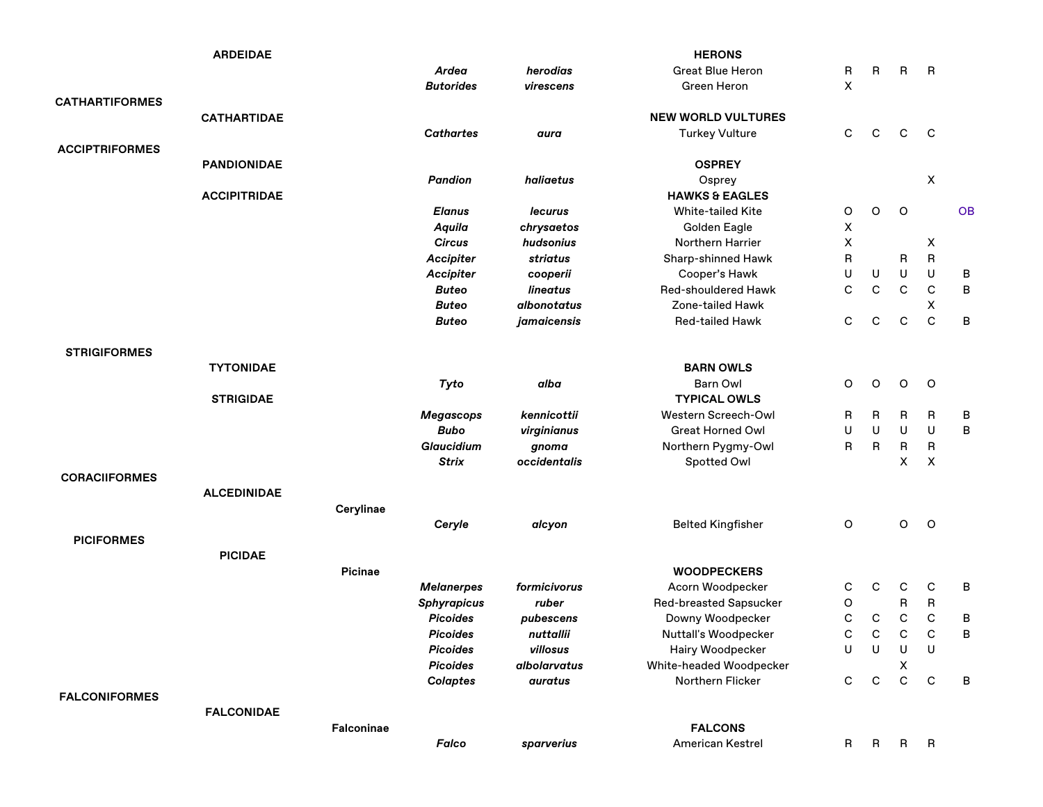|                       | <b>ARDEIDAE</b>     |            |                    |              | <b>HERONS</b>                 |              |             |              |                    |           |
|-----------------------|---------------------|------------|--------------------|--------------|-------------------------------|--------------|-------------|--------------|--------------------|-----------|
|                       |                     |            | Ardea              | herodias     | <b>Great Blue Heron</b>       | R            | R           | $\mathsf{B}$ | $\mathsf{R}$       |           |
|                       |                     |            | <b>Butorides</b>   | virescens    | Green Heron                   | X            |             |              |                    |           |
| <b>CATHARTIFORMES</b> |                     |            |                    |              |                               |              |             |              |                    |           |
|                       | <b>CATHARTIDAE</b>  |            |                    |              | <b>NEW WORLD VULTURES</b>     |              |             |              |                    |           |
|                       |                     |            | <b>Cathartes</b>   | aura         | <b>Turkey Vulture</b>         | С            | С           | $\mathsf{C}$ | C                  |           |
| <b>ACCIPTRIFORMES</b> |                     |            |                    |              |                               |              |             |              |                    |           |
|                       | <b>PANDIONIDAE</b>  |            |                    |              | <b>OSPREY</b>                 |              |             |              |                    |           |
|                       |                     |            | <b>Pandion</b>     | haliaetus    | Osprey                        |              |             |              | $\pmb{\mathsf{X}}$ |           |
|                       | <b>ACCIPITRIDAE</b> |            |                    |              | <b>HAWKS &amp; EAGLES</b>     |              |             |              |                    |           |
|                       |                     |            | <b>Elanus</b>      | lecurus      | <b>White-tailed Kite</b>      | $\mathsf O$  | O           | $\circ$      |                    | <b>OB</b> |
|                       |                     |            | Aquila             | chrysaetos   | Golden Eagle                  | X            |             |              |                    |           |
|                       |                     |            | <b>Circus</b>      | hudsonius    | Northern Harrier              | X            |             |              | X                  |           |
|                       |                     |            | <b>Accipiter</b>   | striatus     | Sharp-shinned Hawk            | R            |             | R            | R                  |           |
|                       |                     |            | <b>Accipiter</b>   | cooperii     | Cooper's Hawk                 | U            | U           | U            | U                  | B         |
|                       |                     |            | <b>Buteo</b>       | lineatus     | Red-shouldered Hawk           | $\mathbf C$  | $\mathbf C$ | $\mathsf{C}$ | $\mathsf C$        | $\sf B$   |
|                       |                     |            | <b>Buteo</b>       | albonotatus  | Zone-tailed Hawk              |              |             |              | X                  |           |
|                       |                     |            | <b>Buteo</b>       | jamaicensis  | <b>Red-tailed Hawk</b>        | $\mathbf C$  | C           | $\mathsf{C}$ | $\mathbf C$        | $\sf B$   |
|                       |                     |            |                    |              |                               |              |             |              |                    |           |
| <b>STRIGIFORMES</b>   |                     |            |                    |              |                               |              |             |              |                    |           |
|                       | <b>TYTONIDAE</b>    |            |                    |              | <b>BARN OWLS</b>              |              |             |              |                    |           |
|                       |                     |            | Tyto               | alba         | <b>Barn Owl</b>               | O            | O           | O            | O                  |           |
|                       | <b>STRIGIDAE</b>    |            |                    |              | <b>TYPICAL OWLS</b>           |              |             |              |                    |           |
|                       |                     |            | <b>Megascops</b>   | kennicottii  | Western Screech-Owl           | R            | R           | R            | R                  | B         |
|                       |                     |            | <b>Bubo</b>        | virginianus  | <b>Great Horned Owl</b>       | U            | U           | U            | U                  | $\sf B$   |
|                       |                     |            | <b>Glaucidium</b>  | gnoma        | Northern Pygmy-Owl            | R            | R           | ${\sf R}$    | R                  |           |
|                       |                     |            | <b>Strix</b>       | occidentalis | Spotted Owl                   |              |             | X            | X                  |           |
| <b>CORACIIFORMES</b>  |                     |            |                    |              |                               |              |             |              |                    |           |
|                       | <b>ALCEDINIDAE</b>  |            |                    |              |                               |              |             |              |                    |           |
|                       |                     | Cerylinae  |                    |              |                               |              |             |              |                    |           |
|                       |                     |            | Ceryle             | alcyon       | <b>Belted Kingfisher</b>      | O            |             | O            | $\circ$            |           |
| <b>PICIFORMES</b>     |                     |            |                    |              |                               |              |             |              |                    |           |
|                       | <b>PICIDAE</b>      |            |                    |              |                               |              |             |              |                    |           |
|                       |                     | Picinae    |                    |              | <b>WOODPECKERS</b>            |              |             |              |                    |           |
|                       |                     |            | <b>Melanerpes</b>  | formicivorus | Acorn Woodpecker              | С            | С           | C            | C                  | B         |
|                       |                     |            | <b>Sphyrapicus</b> | ruber        | <b>Red-breasted Sapsucker</b> | O            |             | R            | R                  |           |
|                       |                     |            | <b>Picoides</b>    | pubescens    | Downy Woodpecker              | $\mathsf{C}$ | С           | $\mathsf C$  | $\mathsf C$        | B         |
|                       |                     |            | Picoides           | nuttallii    | Nuttall's Woodpecker          | C            | С           | $\mathsf{C}$ | C                  | B         |
|                       |                     |            | <b>Picoides</b>    | villosus     | Hairy Woodpecker              | U            | U           | U            | U                  |           |
|                       |                     |            | <b>Picoides</b>    | albolarvatus | White-headed Woodpecker       |              |             | Χ            |                    |           |
|                       |                     |            | <b>Colaptes</b>    | auratus      | Northern Flicker              | C            | C           | $\mathsf{C}$ | $\mathsf{C}$       | B         |
| <b>FALCONIFORMES</b>  |                     |            |                    |              |                               |              |             |              |                    |           |
|                       | <b>FALCONIDAE</b>   |            |                    |              |                               |              |             |              |                    |           |
|                       |                     | Falconinae |                    |              | <b>FALCONS</b>                |              |             |              |                    |           |
|                       |                     |            | Falco              | sparverius   | American Kestrel              | R.           | R,          | $\mathsf{R}$ | $\mathsf{R}$       |           |
|                       |                     |            |                    |              |                               |              |             |              |                    |           |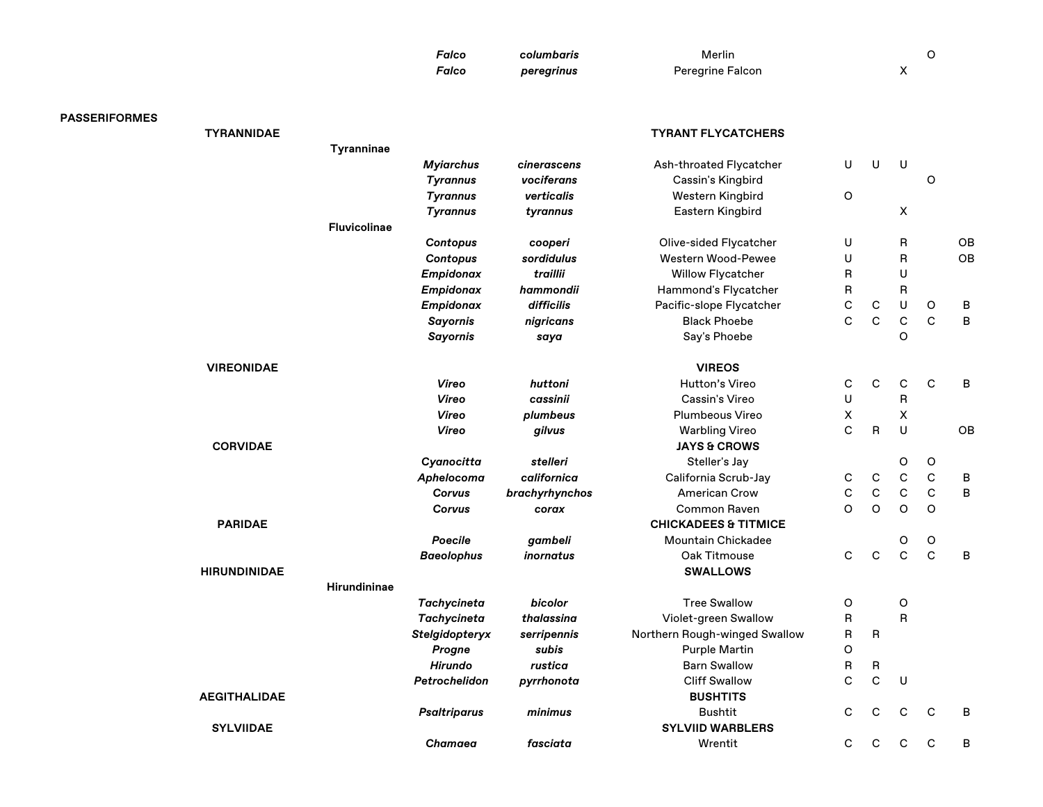| Falco | columbaris | Merlin                  |  |
|-------|------------|-------------------------|--|
| Falco | peregrinus | <b>Peregrine Falcon</b> |  |

| <b>PASSERIFORMES</b> |                     |                     |                     |                  |                                 |              |              |                    |              |    |
|----------------------|---------------------|---------------------|---------------------|------------------|---------------------------------|--------------|--------------|--------------------|--------------|----|
|                      | <b>TYRANNIDAE</b>   |                     |                     |                  | <b>TYRANT FLYCATCHERS</b>       |              |              |                    |              |    |
|                      |                     | Tyranninae          |                     |                  |                                 |              |              |                    |              |    |
|                      |                     |                     | <b>Myiarchus</b>    | cinerascens      | Ash-throated Flycatcher         | U            | U            | $\sf U$            |              |    |
|                      |                     |                     | <b>Tyrannus</b>     | vociferans       | Cassin's Kingbird               |              |              |                    | O            |    |
|                      |                     |                     | <b>Tyrannus</b>     | verticalis       | Western Kingbird                | O            |              |                    |              |    |
|                      |                     |                     | <b>Tyrannus</b>     | tyrannus         | Eastern Kingbird                |              |              | X                  |              |    |
|                      |                     | <b>Fluvicolinae</b> |                     |                  |                                 |              |              |                    |              |    |
|                      |                     |                     | Contopus            | cooperi          | Olive-sided Flycatcher          | U            |              | R                  |              | OB |
|                      |                     |                     | Contopus            | sordidulus       | Western Wood-Pewee              | $\sf U$      |              | R                  |              | OB |
|                      |                     |                     | Empidonax           | traillii         | <b>Willow Flycatcher</b>        | R            |              | U                  |              |    |
|                      |                     |                     | Empidonax           | hammondii        | Hammond's Flycatcher            | $\sf R$      |              | R                  |              |    |
|                      |                     |                     | Empidonax           | difficilis       | Pacific-slope Flycatcher        | $\mathsf{C}$ | C            | U                  | O            | B  |
|                      |                     |                     | <b>Sayornis</b>     | nigricans        | <b>Black Phoebe</b>             | $\mathbf C$  | $\mathsf C$  | $\mathsf C$        | $\mathbf C$  | B  |
|                      |                     |                     | <b>Sayornis</b>     | saya             | Say's Phoebe                    |              |              | $\circ$            |              |    |
|                      | <b>VIREONIDAE</b>   |                     |                     |                  | <b>VIREOS</b>                   |              |              |                    |              |    |
|                      |                     |                     | Vireo               | huttoni          | Hutton's Vireo                  | $\mathbf C$  | $\mathbf C$  | $\mathbf C$        | C            | B  |
|                      |                     |                     | Vireo               | cassinii         | Cassin's Vireo                  | U            |              | R                  |              |    |
|                      |                     |                     | Vireo               | plumbeus         | <b>Plumbeous Vireo</b>          | X            |              | $\pmb{\mathsf{X}}$ |              |    |
|                      |                     |                     | Vireo               | gilvus           | <b>Warbling Vireo</b>           | $\mathbf C$  | R            | U                  |              | OB |
|                      | <b>CORVIDAE</b>     |                     |                     |                  | <b>JAYS &amp; CROWS</b>         |              |              |                    |              |    |
|                      |                     |                     | Cyanocitta          | stelleri         | Steller's Jay                   |              |              | O                  | O            |    |
|                      |                     |                     | Aphelocoma          | californica      | California Scrub-Jay            | $\mathbf C$  | $\mathbf C$  | $\mathsf C$        | $\mathsf C$  | B  |
|                      |                     |                     | Corvus              | brachyrhynchos   | <b>American Crow</b>            | $\mathsf C$  | $\mathsf C$  | $\mathbf C$        | $\mathsf{C}$ | B  |
|                      |                     |                     | Corvus              | corax            | <b>Common Raven</b>             | $\circ$      | $\circ$      | $\circ$            | O            |    |
|                      | <b>PARIDAE</b>      |                     |                     |                  | <b>CHICKADEES &amp; TITMICE</b> |              |              |                    |              |    |
|                      |                     |                     | Poecile             | gambeli          | <b>Mountain Chickadee</b>       |              |              | O                  | O            |    |
|                      |                     |                     | <b>Baeolophus</b>   | <i>inornatus</i> | Oak Titmouse                    | C            | $\mathbf C$  | $\mathsf{C}$       | $\mathbf C$  | B  |
|                      | <b>HIRUNDINIDAE</b> |                     |                     |                  | <b>SWALLOWS</b>                 |              |              |                    |              |    |
|                      |                     | <b>Hirundininae</b> |                     |                  |                                 |              |              |                    |              |    |
|                      |                     |                     | <b>Tachycineta</b>  | bicolor          | <b>Tree Swallow</b>             | $\mathsf O$  |              | O                  |              |    |
|                      |                     |                     | <b>Tachycineta</b>  | thalassina       | Violet-green Swallow            | R            |              | R                  |              |    |
|                      |                     |                     | Stelgidopteryx      | serripennis      | Northern Rough-winged Swallow   | R            | R            |                    |              |    |
|                      |                     |                     | Progne              | subis            | <b>Purple Martin</b>            | $\mathsf O$  |              |                    |              |    |
|                      |                     |                     | Hirundo             | rustica          | <b>Barn Swallow</b>             | R            | R            |                    |              |    |
|                      |                     |                     | Petrochelidon       | pyrrhonota       | <b>Cliff Swallow</b>            | $\mathbf C$  | $\mathbf C$  | $\sf U$            |              |    |
|                      | <b>AEGITHALIDAE</b> |                     |                     |                  | <b>BUSHTITS</b>                 |              |              |                    |              |    |
|                      |                     |                     | <b>Psaltriparus</b> | minimus          | <b>Bushtit</b>                  | C            | C            | $\mathsf{C}$       | $\mathsf{C}$ | B  |
|                      | <b>SYLVIIDAE</b>    |                     |                     |                  | <b>SYLVIID WARBLERS</b>         |              |              |                    |              |    |
|                      |                     |                     | Chamaea             | fasciata         | Wrentit                         | C            | $\mathsf{C}$ | C                  | C            | B  |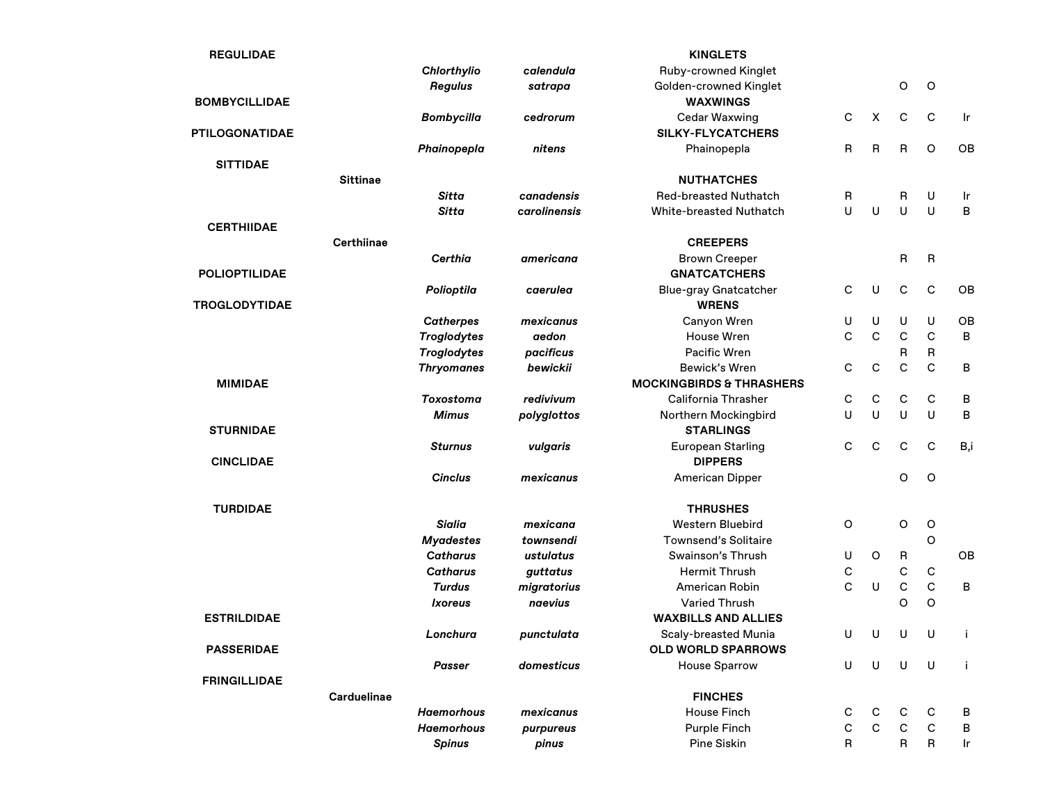| <b>REGULIDAE</b>      |                   |                    |                     | <b>KINGLETS</b>                     |   |                |              |             |     |
|-----------------------|-------------------|--------------------|---------------------|-------------------------------------|---|----------------|--------------|-------------|-----|
|                       |                   | Chlorthylio        | calendula           | Ruby-crowned Kinglet                |   |                |              |             |     |
|                       |                   | Regulus            | satrapa             | Golden-crowned Kinglet              |   |                | $\mathsf O$  | $\circ$     |     |
| <b>BOMBYCILLIDAE</b>  |                   |                    |                     | <b>WAXWINGS</b>                     |   |                |              |             |     |
|                       |                   | <b>Bombycilla</b>  | cedrorum            | <b>Cedar Waxwing</b>                | С | $\pmb{\times}$ | $\mathbf C$  | $\mathbf C$ | Ir  |
| <b>PTILOGONATIDAE</b> |                   |                    |                     | <b>SILKY-FLYCATCHERS</b>            |   |                |              |             |     |
|                       |                   | Phainopepla        | nitens              | Phainopepla                         | R | R              | R            | $\circ$     | OB  |
| <b>SITTIDAE</b>       |                   |                    |                     |                                     |   |                |              |             |     |
|                       | <b>Sittinae</b>   |                    |                     | <b>NUTHATCHES</b>                   |   |                |              |             |     |
|                       |                   | Sitta              | canadensis          | <b>Red-breasted Nuthatch</b>        | R |                | R            | U           | Ir  |
|                       |                   | Sitta              | <b>carolinensis</b> | <b>White-breasted Nuthatch</b>      | U | U              | U            | U           | В   |
| <b>CERTHIIDAE</b>     |                   |                    |                     |                                     |   |                |              |             |     |
|                       | <b>Certhiinae</b> |                    |                     | <b>CREEPERS</b>                     |   |                |              |             |     |
|                       |                   | <b>Certhia</b>     | americana           | <b>Brown Creeper</b>                |   |                | R            | R           |     |
| <b>POLIOPTILIDAE</b>  |                   |                    |                     | <b>GNATCATCHERS</b>                 |   |                |              |             |     |
|                       |                   | Polioptila         | caerulea            | <b>Blue-gray Gnatcatcher</b>        | С | $\sf U$        | $\mathbf C$  | $\mathsf C$ | OB  |
| <b>TROGLODYTIDAE</b>  |                   |                    |                     | <b>WRENS</b>                        |   |                |              |             |     |
|                       |                   | <b>Catherpes</b>   | mexicanus           | Canyon Wren                         | U | U              | U            | U           | OB  |
|                       |                   | <b>Troglodytes</b> | aedon               | House Wren                          | C | $\mathbf C$    | $\mathbf C$  | $\mathbf C$ | B   |
|                       |                   | <b>Troglodytes</b> | pacificus           | Pacific Wren                        |   |                | R            | R           |     |
|                       |                   | <b>Thryomanes</b>  | bewickii            | Bewick's Wren                       | C | $\mathbf C$    | $\mathbf C$  | $\mathbf C$ | B   |
| <b>MIMIDAE</b>        |                   |                    |                     | <b>MOCKINGBIRDS &amp; THRASHERS</b> |   |                |              |             |     |
|                       |                   | <b>Toxostoma</b>   | redivivum           | <b>California Thrasher</b>          | С | $\mathbf C$    | C            | $\mathbf C$ | B   |
|                       |                   | <b>Mimus</b>       | polyglottos         | Northern Mockingbird                | U | U              | U            | U           | B   |
| <b>STURNIDAE</b>      |                   |                    |                     | <b>STARLINGS</b>                    |   |                |              |             |     |
|                       |                   | <b>Sturnus</b>     | vulgaris            | <b>European Starling</b>            | С | C              | $\mathbf C$  | $\mathbf C$ | B,i |
| <b>CINCLIDAE</b>      |                   |                    |                     | <b>DIPPERS</b>                      |   |                |              |             |     |
|                       |                   | <b>Cinclus</b>     | mexicanus           | <b>American Dipper</b>              |   |                | O            | O           |     |
|                       |                   |                    |                     |                                     |   |                |              |             |     |
| <b>TURDIDAE</b>       |                   |                    |                     | <b>THRUSHES</b>                     |   |                |              |             |     |
|                       |                   | Sialia             | mexicana            | Western Bluebird                    | O |                | $\mathsf O$  | $\circ$     |     |
|                       |                   | <b>Myadestes</b>   | townsendi           | <b>Townsend's Solitaire</b>         |   |                |              | O           |     |
|                       |                   | <b>Catharus</b>    | ustulatus           | Swainson's Thrush                   | U | O              | R            |             | OB  |
|                       |                   | <b>Catharus</b>    | guttatus            | <b>Hermit Thrush</b>                | С |                | C            | C           |     |
|                       |                   | <b>Turdus</b>      | migratorius         | American Robin                      | C | U              | $\mathsf C$  | $\mathsf C$ | B   |
|                       |                   | Ixoreus            | naevius             | <b>Varied Thrush</b>                |   |                | O            | O           |     |
| <b>ESTRILDIDAE</b>    |                   |                    |                     | <b>WAXBILLS AND ALLIES</b>          |   |                |              |             |     |
|                       |                   | Lonchura           | punctulata          | Scaly-breasted Munia                | U | U              | U            | U           |     |
| <b>PASSERIDAE</b>     |                   |                    |                     | OLD WORLD SPARROWS                  |   |                |              |             |     |
|                       |                   | <b>Passer</b>      | domesticus          | <b>House Sparrow</b>                | U | U              | U            | U           | j.  |
| <b>FRINGILLIDAE</b>   |                   |                    |                     |                                     |   |                |              |             |     |
|                       | Carduelinae       |                    |                     | <b>FINCHES</b>                      |   |                |              |             |     |
|                       |                   | <b>Haemorhous</b>  | mexicanus           | House Finch                         | С | C              | С            | С           | В   |
|                       |                   | <b>Haemorhous</b>  | purpureus           | Purple Finch                        | С | $\mathsf C$    | $\mathsf{C}$ | C           | в   |
|                       |                   | <b>Spinus</b>      | pinus               | Pine Siskin                         | R |                | R            | R           | Ir  |
|                       |                   |                    |                     |                                     |   |                |              |             |     |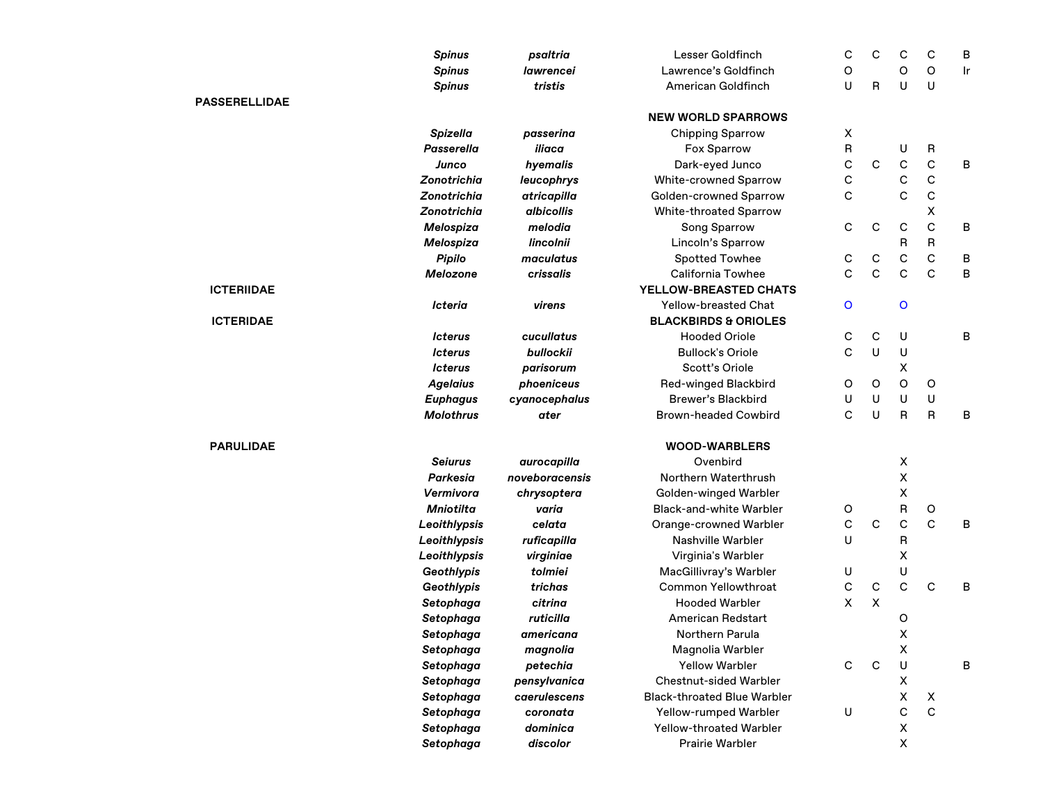|                      | <b>Spinus</b>      | psaltria                                                                                                                                                                                                                                                                                                                                                                                                                                                                                                                                                                                                                                                                                                                                                                                                                                                                                                                                                                                                                                                                                                                                                                                                                                                                                                                                                                                   | <b>Lesser Goldfinch</b>   | С                                                                                                                                                                                                                                                                                                                                               | C           | C            | С            | В  |
|----------------------|--------------------|--------------------------------------------------------------------------------------------------------------------------------------------------------------------------------------------------------------------------------------------------------------------------------------------------------------------------------------------------------------------------------------------------------------------------------------------------------------------------------------------------------------------------------------------------------------------------------------------------------------------------------------------------------------------------------------------------------------------------------------------------------------------------------------------------------------------------------------------------------------------------------------------------------------------------------------------------------------------------------------------------------------------------------------------------------------------------------------------------------------------------------------------------------------------------------------------------------------------------------------------------------------------------------------------------------------------------------------------------------------------------------------------|---------------------------|-------------------------------------------------------------------------------------------------------------------------------------------------------------------------------------------------------------------------------------------------------------------------------------------------------------------------------------------------|-------------|--------------|--------------|----|
|                      | <b>Spinus</b>      | <b>lawrencei</b>                                                                                                                                                                                                                                                                                                                                                                                                                                                                                                                                                                                                                                                                                                                                                                                                                                                                                                                                                                                                                                                                                                                                                                                                                                                                                                                                                                           | Lawrence's Goldfinch      | O                                                                                                                                                                                                                                                                                                                                               |             | O            | O            | Ir |
|                      | <b>Spinus</b>      | tristis                                                                                                                                                                                                                                                                                                                                                                                                                                                                                                                                                                                                                                                                                                                                                                                                                                                                                                                                                                                                                                                                                                                                                                                                                                                                                                                                                                                    | American Goldfinch        | U                                                                                                                                                                                                                                                                                                                                               | R           | U            | U            |    |
| <b>PASSERELLIDAE</b> |                    |                                                                                                                                                                                                                                                                                                                                                                                                                                                                                                                                                                                                                                                                                                                                                                                                                                                                                                                                                                                                                                                                                                                                                                                                                                                                                                                                                                                            |                           |                                                                                                                                                                                                                                                                                                                                                 |             |              |              |    |
|                      |                    |                                                                                                                                                                                                                                                                                                                                                                                                                                                                                                                                                                                                                                                                                                                                                                                                                                                                                                                                                                                                                                                                                                                                                                                                                                                                                                                                                                                            | <b>NEW WORLD SPARROWS</b> |                                                                                                                                                                                                                                                                                                                                                 |             |              |              |    |
|                      | <b>Spizella</b>    | passerina                                                                                                                                                                                                                                                                                                                                                                                                                                                                                                                                                                                                                                                                                                                                                                                                                                                                                                                                                                                                                                                                                                                                                                                                                                                                                                                                                                                  | <b>Chipping Sparrow</b>   | X                                                                                                                                                                                                                                                                                                                                               |             |              |              |    |
|                      | <b>Passerella</b>  | iliaca                                                                                                                                                                                                                                                                                                                                                                                                                                                                                                                                                                                                                                                                                                                                                                                                                                                                                                                                                                                                                                                                                                                                                                                                                                                                                                                                                                                     | Fox Sparrow               | R                                                                                                                                                                                                                                                                                                                                               |             | U            | R            |    |
|                      | Junco              | hyemalis                                                                                                                                                                                                                                                                                                                                                                                                                                                                                                                                                                                                                                                                                                                                                                                                                                                                                                                                                                                                                                                                                                                                                                                                                                                                                                                                                                                   | Dark-eyed Junco           | С                                                                                                                                                                                                                                                                                                                                               | $\mathbf C$ | $\mathsf{C}$ | $\mathbf C$  | В  |
|                      | Zonotrichia        | <b>White-crowned Sparrow</b><br>leucophrys<br><b>Golden-crowned Sparrow</b><br>atricapilla<br>albicollis<br>White-throated Sparrow<br>melodia<br>Song Sparrow<br>lincolnii<br>Lincoln's Sparrow<br>Spotted Towhee<br>maculatus<br>crissalis<br><b>California Towhee</b><br>YELLOW-BREASTED CHATS<br>Yellow-breasted Chat<br>virens<br><b>BLACKBIRDS &amp; ORIOLES</b><br><b>Hooded Oriole</b><br>cucullatus<br><b>Bullock's Oriole</b><br>bullockii<br>Scott's Oriole<br>parisorum<br>Red-winged Blackbird<br>phoeniceus<br>Brewer's Blackbird<br>cyanocephalus<br><b>Brown-headed Cowbird</b><br>ater<br><b>WOOD-WARBLERS</b><br>Ovenbird<br>aurocapilla<br>noveboracensis<br>Northern Waterthrush<br>Golden-winged Warbler<br>chrysoptera<br><b>Black-and-white Warbler</b><br>varia<br>celata<br>Orange-crowned Warbler<br><b>Nashville Warbler</b><br>ruficapilla<br>virginiae<br>Virginia's Warbler<br>tolmiei<br>MacGillivray's Warbler<br><b>Common Yellowthroat</b><br>trichas<br><b>Hooded Warbler</b><br>citrina<br>ruticilla<br><b>American Redstart</b><br>Northern Parula<br>americana<br>magnolia<br>Magnolia Warbler<br><b>Yellow Warbler</b><br>petechia<br>pensylvanica<br><b>Chestnut-sided Warbler</b><br>caerulescens<br><b>Black-throated Blue Warbler</b><br>Yellow-rumped Warbler<br>coronata<br>dominica<br>Yellow-throated Warbler<br>discolor<br>Prairie Warbler | С                         |                                                                                                                                                                                                                                                                                                                                                 | С           | С            |              |    |
|                      | <b>Zonotrichia</b> |                                                                                                                                                                                                                                                                                                                                                                                                                                                                                                                                                                                                                                                                                                                                                                                                                                                                                                                                                                                                                                                                                                                                                                                                                                                                                                                                                                                            |                           | C                                                                                                                                                                                                                                                                                                                                               |             | C            | C            |    |
|                      | Zonotrichia        |                                                                                                                                                                                                                                                                                                                                                                                                                                                                                                                                                                                                                                                                                                                                                                                                                                                                                                                                                                                                                                                                                                                                                                                                                                                                                                                                                                                            |                           |                                                                                                                                                                                                                                                                                                                                                 |             |              | x            |    |
|                      | Melospiza          |                                                                                                                                                                                                                                                                                                                                                                                                                                                                                                                                                                                                                                                                                                                                                                                                                                                                                                                                                                                                                                                                                                                                                                                                                                                                                                                                                                                            |                           | C                                                                                                                                                                                                                                                                                                                                               | $\mathsf C$ | $\mathsf C$  | C            | В  |
|                      | Melospiza          |                                                                                                                                                                                                                                                                                                                                                                                                                                                                                                                                                                                                                                                                                                                                                                                                                                                                                                                                                                                                                                                                                                                                                                                                                                                                                                                                                                                            |                           |                                                                                                                                                                                                                                                                                                                                                 |             | R            | R            |    |
|                      | Pipilo             |                                                                                                                                                                                                                                                                                                                                                                                                                                                                                                                                                                                                                                                                                                                                                                                                                                                                                                                                                                                                                                                                                                                                                                                                                                                                                                                                                                                            |                           | C                                                                                                                                                                                                                                                                                                                                               | С           | C            | C            | В  |
|                      | Melozone           |                                                                                                                                                                                                                                                                                                                                                                                                                                                                                                                                                                                                                                                                                                                                                                                                                                                                                                                                                                                                                                                                                                                                                                                                                                                                                                                                                                                            |                           | C                                                                                                                                                                                                                                                                                                                                               | C           | C            | C            | B  |
| <b>ICTERIIDAE</b>    |                    |                                                                                                                                                                                                                                                                                                                                                                                                                                                                                                                                                                                                                                                                                                                                                                                                                                                                                                                                                                                                                                                                                                                                                                                                                                                                                                                                                                                            |                           | O<br>o<br>C<br>С<br>U<br>C<br>U<br>U<br>x<br>O<br>O<br>O<br>U<br>U<br>U<br>C<br>R<br>U<br>X<br>$\mathsf X$<br>x<br>$\sf B$<br>O<br>$\mathsf C$<br>С<br>C<br>U<br>R<br>x<br>U<br>U<br>$\mathbf C$<br>C<br>C<br>X<br>x<br>O<br>X<br>X<br>С<br>$\mathbf C$<br>$\sf U$<br>$\pmb{\mathsf{X}}$<br>$\mathsf X$<br>$\mathbf C$<br>U<br>X<br>$\mathsf X$ |             |              |              |    |
|                      | Icteria            |                                                                                                                                                                                                                                                                                                                                                                                                                                                                                                                                                                                                                                                                                                                                                                                                                                                                                                                                                                                                                                                                                                                                                                                                                                                                                                                                                                                            |                           |                                                                                                                                                                                                                                                                                                                                                 |             |              |              |    |
| <b>ICTERIDAE</b>     |                    |                                                                                                                                                                                                                                                                                                                                                                                                                                                                                                                                                                                                                                                                                                                                                                                                                                                                                                                                                                                                                                                                                                                                                                                                                                                                                                                                                                                            |                           |                                                                                                                                                                                                                                                                                                                                                 |             |              |              |    |
|                      | lcterus            |                                                                                                                                                                                                                                                                                                                                                                                                                                                                                                                                                                                                                                                                                                                                                                                                                                                                                                                                                                                                                                                                                                                                                                                                                                                                                                                                                                                            |                           |                                                                                                                                                                                                                                                                                                                                                 |             |              |              | В  |
|                      | lcterus            |                                                                                                                                                                                                                                                                                                                                                                                                                                                                                                                                                                                                                                                                                                                                                                                                                                                                                                                                                                                                                                                                                                                                                                                                                                                                                                                                                                                            |                           |                                                                                                                                                                                                                                                                                                                                                 |             |              |              |    |
|                      | <b>Icterus</b>     |                                                                                                                                                                                                                                                                                                                                                                                                                                                                                                                                                                                                                                                                                                                                                                                                                                                                                                                                                                                                                                                                                                                                                                                                                                                                                                                                                                                            |                           |                                                                                                                                                                                                                                                                                                                                                 |             |              |              |    |
|                      | <b>Agelaius</b>    |                                                                                                                                                                                                                                                                                                                                                                                                                                                                                                                                                                                                                                                                                                                                                                                                                                                                                                                                                                                                                                                                                                                                                                                                                                                                                                                                                                                            |                           |                                                                                                                                                                                                                                                                                                                                                 |             |              | O            |    |
|                      | <b>Euphagus</b>    |                                                                                                                                                                                                                                                                                                                                                                                                                                                                                                                                                                                                                                                                                                                                                                                                                                                                                                                                                                                                                                                                                                                                                                                                                                                                                                                                                                                            |                           |                                                                                                                                                                                                                                                                                                                                                 |             |              | U            |    |
|                      | <b>Molothrus</b>   |                                                                                                                                                                                                                                                                                                                                                                                                                                                                                                                                                                                                                                                                                                                                                                                                                                                                                                                                                                                                                                                                                                                                                                                                                                                                                                                                                                                            |                           |                                                                                                                                                                                                                                                                                                                                                 |             |              | $\mathsf{R}$ | B  |
| <b>PARULIDAE</b>     |                    |                                                                                                                                                                                                                                                                                                                                                                                                                                                                                                                                                                                                                                                                                                                                                                                                                                                                                                                                                                                                                                                                                                                                                                                                                                                                                                                                                                                            |                           |                                                                                                                                                                                                                                                                                                                                                 |             |              |              |    |
|                      | <b>Seiurus</b>     |                                                                                                                                                                                                                                                                                                                                                                                                                                                                                                                                                                                                                                                                                                                                                                                                                                                                                                                                                                                                                                                                                                                                                                                                                                                                                                                                                                                            |                           |                                                                                                                                                                                                                                                                                                                                                 |             |              |              |    |
|                      | Parkesia           |                                                                                                                                                                                                                                                                                                                                                                                                                                                                                                                                                                                                                                                                                                                                                                                                                                                                                                                                                                                                                                                                                                                                                                                                                                                                                                                                                                                            |                           |                                                                                                                                                                                                                                                                                                                                                 |             |              |              |    |
|                      | Vermivora          |                                                                                                                                                                                                                                                                                                                                                                                                                                                                                                                                                                                                                                                                                                                                                                                                                                                                                                                                                                                                                                                                                                                                                                                                                                                                                                                                                                                            |                           |                                                                                                                                                                                                                                                                                                                                                 |             |              |              |    |
|                      | <b>Mniotilta</b>   |                                                                                                                                                                                                                                                                                                                                                                                                                                                                                                                                                                                                                                                                                                                                                                                                                                                                                                                                                                                                                                                                                                                                                                                                                                                                                                                                                                                            |                           |                                                                                                                                                                                                                                                                                                                                                 |             |              | O            |    |
|                      | Leoithlypsis       |                                                                                                                                                                                                                                                                                                                                                                                                                                                                                                                                                                                                                                                                                                                                                                                                                                                                                                                                                                                                                                                                                                                                                                                                                                                                                                                                                                                            |                           |                                                                                                                                                                                                                                                                                                                                                 |             |              | C            | В  |
|                      | Leoithlypsis       |                                                                                                                                                                                                                                                                                                                                                                                                                                                                                                                                                                                                                                                                                                                                                                                                                                                                                                                                                                                                                                                                                                                                                                                                                                                                                                                                                                                            |                           |                                                                                                                                                                                                                                                                                                                                                 |             |              |              |    |
|                      | Leoithlypsis       |                                                                                                                                                                                                                                                                                                                                                                                                                                                                                                                                                                                                                                                                                                                                                                                                                                                                                                                                                                                                                                                                                                                                                                                                                                                                                                                                                                                            |                           |                                                                                                                                                                                                                                                                                                                                                 |             |              |              |    |
|                      | Geothlypis         |                                                                                                                                                                                                                                                                                                                                                                                                                                                                                                                                                                                                                                                                                                                                                                                                                                                                                                                                                                                                                                                                                                                                                                                                                                                                                                                                                                                            |                           |                                                                                                                                                                                                                                                                                                                                                 |             |              |              |    |
|                      | Geothlypis         |                                                                                                                                                                                                                                                                                                                                                                                                                                                                                                                                                                                                                                                                                                                                                                                                                                                                                                                                                                                                                                                                                                                                                                                                                                                                                                                                                                                            |                           |                                                                                                                                                                                                                                                                                                                                                 |             |              | C            | B  |
|                      | Setophaga          |                                                                                                                                                                                                                                                                                                                                                                                                                                                                                                                                                                                                                                                                                                                                                                                                                                                                                                                                                                                                                                                                                                                                                                                                                                                                                                                                                                                            |                           |                                                                                                                                                                                                                                                                                                                                                 |             |              |              |    |
|                      | Setophaga          |                                                                                                                                                                                                                                                                                                                                                                                                                                                                                                                                                                                                                                                                                                                                                                                                                                                                                                                                                                                                                                                                                                                                                                                                                                                                                                                                                                                            |                           |                                                                                                                                                                                                                                                                                                                                                 |             |              |              |    |
|                      | Setophaga          |                                                                                                                                                                                                                                                                                                                                                                                                                                                                                                                                                                                                                                                                                                                                                                                                                                                                                                                                                                                                                                                                                                                                                                                                                                                                                                                                                                                            |                           |                                                                                                                                                                                                                                                                                                                                                 |             |              |              |    |
|                      | Setophaga          |                                                                                                                                                                                                                                                                                                                                                                                                                                                                                                                                                                                                                                                                                                                                                                                                                                                                                                                                                                                                                                                                                                                                                                                                                                                                                                                                                                                            |                           |                                                                                                                                                                                                                                                                                                                                                 |             |              |              |    |
|                      | Setophaga          |                                                                                                                                                                                                                                                                                                                                                                                                                                                                                                                                                                                                                                                                                                                                                                                                                                                                                                                                                                                                                                                                                                                                                                                                                                                                                                                                                                                            |                           |                                                                                                                                                                                                                                                                                                                                                 |             |              |              | В  |
|                      | Setophaga          |                                                                                                                                                                                                                                                                                                                                                                                                                                                                                                                                                                                                                                                                                                                                                                                                                                                                                                                                                                                                                                                                                                                                                                                                                                                                                                                                                                                            |                           |                                                                                                                                                                                                                                                                                                                                                 |             |              |              |    |
|                      | Setophaga          |                                                                                                                                                                                                                                                                                                                                                                                                                                                                                                                                                                                                                                                                                                                                                                                                                                                                                                                                                                                                                                                                                                                                                                                                                                                                                                                                                                                            |                           |                                                                                                                                                                                                                                                                                                                                                 |             |              | X            |    |
|                      | Setophaga          |                                                                                                                                                                                                                                                                                                                                                                                                                                                                                                                                                                                                                                                                                                                                                                                                                                                                                                                                                                                                                                                                                                                                                                                                                                                                                                                                                                                            |                           |                                                                                                                                                                                                                                                                                                                                                 |             |              | $\mathbf C$  |    |
|                      | Setophaga          |                                                                                                                                                                                                                                                                                                                                                                                                                                                                                                                                                                                                                                                                                                                                                                                                                                                                                                                                                                                                                                                                                                                                                                                                                                                                                                                                                                                            |                           |                                                                                                                                                                                                                                                                                                                                                 |             |              |              |    |
|                      | Setophaga          |                                                                                                                                                                                                                                                                                                                                                                                                                                                                                                                                                                                                                                                                                                                                                                                                                                                                                                                                                                                                                                                                                                                                                                                                                                                                                                                                                                                            |                           |                                                                                                                                                                                                                                                                                                                                                 |             |              |              |    |